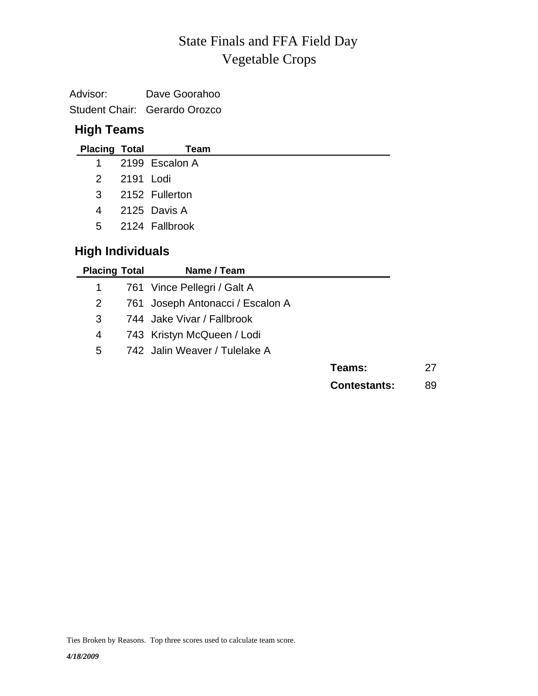# Vegetable Crops State Finals and FFA Field Day

| Advisor: | Dave Goorahoo                 |
|----------|-------------------------------|
|          | Student Chair: Gerardo Orozco |

### **High Teams**

| <b>Placing Total</b>    |           | Team                             |
|-------------------------|-----------|----------------------------------|
| 1                       |           | 2199 Escalon A                   |
| $\mathcal{P}$           | 2191 Lodi |                                  |
| 3                       |           | 2152 Fullerton                   |
| 4                       |           | 2125 Davis A                     |
| 5                       |           | 2124 Fallbrook                   |
| <b>High Individuals</b> |           |                                  |
| <b>Placing Total</b>    |           | Name / Team                      |
| 1                       |           | 761 Vince Pellegri / Galt A      |
| 2                       |           | 761 Joseph Antonacci / Escalon A |

- 3 744 Jake Vivar / Fallbrook
- 4 743 Kristyn McQueen / Lodi
- 5 742 Jalin Weaver / Tulelake A

| Teams: | 27 |
|--------|----|
|--------|----|

**Contestants:** 89

Ties Broken by Reasons. Top three scores used to calculate team score.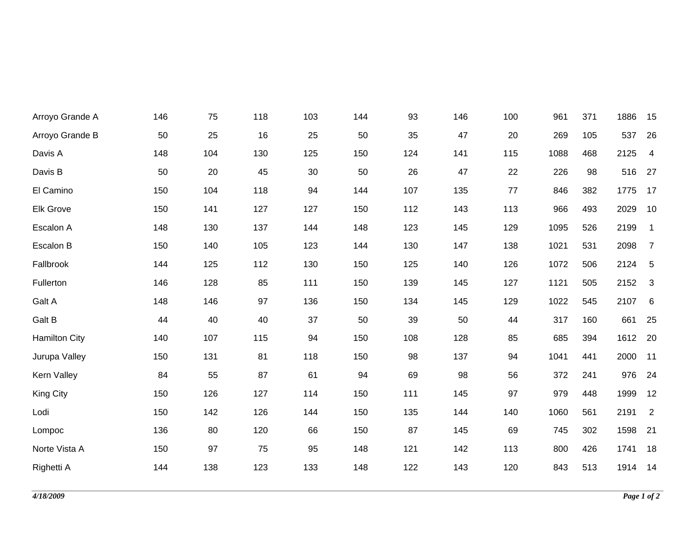| Arroyo Grande A      | 146 | 75  | 118 | 103 | 144 | 93  | 146 | 100  | 961  | 371 | 1886    | 15                         |
|----------------------|-----|-----|-----|-----|-----|-----|-----|------|------|-----|---------|----------------------------|
| Arroyo Grande B      | 50  | 25  | 16  | 25  | 50  | 35  | 47  | 20   | 269  | 105 | 537     | 26                         |
| Davis A              | 148 | 104 | 130 | 125 | 150 | 124 | 141 | 115  | 1088 | 468 | 2125    | $\overline{4}$             |
| Davis B              | 50  | 20  | 45  | 30  | 50  | 26  | 47  | 22   | 226  | 98  | 516     | 27                         |
| El Camino            | 150 | 104 | 118 | 94  | 144 | 107 | 135 | $77$ | 846  | 382 | 1775    | 17                         |
| Elk Grove            | 150 | 141 | 127 | 127 | 150 | 112 | 143 | 113  | 966  | 493 | 2029    | 10                         |
| Escalon A            | 148 | 130 | 137 | 144 | 148 | 123 | 145 | 129  | 1095 | 526 | 2199    | $\overline{\phantom{0}}$ 1 |
| Escalon B            | 150 | 140 | 105 | 123 | 144 | 130 | 147 | 138  | 1021 | 531 | 2098    | $\overline{7}$             |
| Fallbrook            | 144 | 125 | 112 | 130 | 150 | 125 | 140 | 126  | 1072 | 506 | 2124 5  |                            |
| Fullerton            | 146 | 128 | 85  | 111 | 150 | 139 | 145 | 127  | 1121 | 505 | 2152    | $\overline{\mathbf{3}}$    |
| Galt A               | 148 | 146 | 97  | 136 | 150 | 134 | 145 | 129  | 1022 | 545 | 2107    | 6                          |
| Galt B               | 44  | 40  | 40  | 37  | 50  | 39  | 50  | 44   | 317  | 160 | 661     | 25                         |
| <b>Hamilton City</b> | 140 | 107 | 115 | 94  | 150 | 108 | 128 | 85   | 685  | 394 | 1612 20 |                            |
| Jurupa Valley        | 150 | 131 | 81  | 118 | 150 | 98  | 137 | 94   | 1041 | 441 | 2000    | 11                         |
| Kern Valley          | 84  | 55  | 87  | 61  | 94  | 69  | 98  | 56   | 372  | 241 | 976     | 24                         |
| King City            | 150 | 126 | 127 | 114 | 150 | 111 | 145 | 97   | 979  | 448 | 1999    | 12                         |
| Lodi                 | 150 | 142 | 126 | 144 | 150 | 135 | 144 | 140  | 1060 | 561 | 2191    | $\overline{\phantom{a}}$   |
| Lompoc               | 136 | 80  | 120 | 66  | 150 | 87  | 145 | 69   | 745  | 302 | 1598    | 21                         |
| Norte Vista A        | 150 | 97  | 75  | 95  | 148 | 121 | 142 | 113  | 800  | 426 | 1741    | 18                         |
| Righetti A           | 144 | 138 | 123 | 133 | 148 | 122 | 143 | 120  | 843  | 513 | 1914 14 |                            |
|                      |     |     |     |     |     |     |     |      |      |     |         |                            |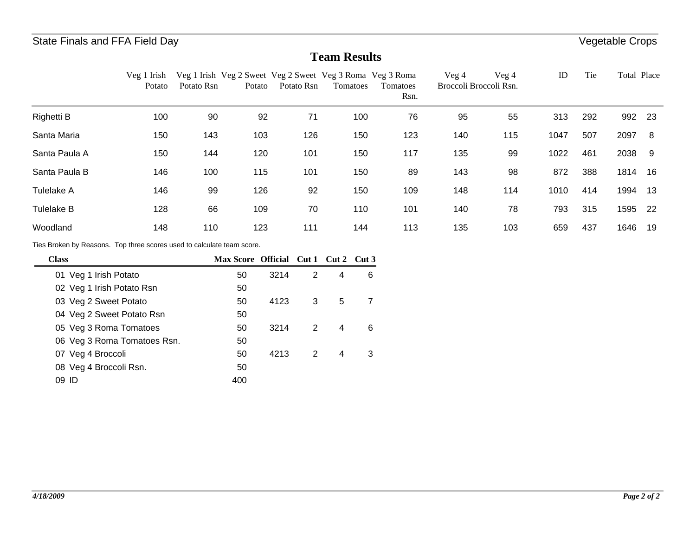### **Team Results**

|                                                                        | Veg 1 Irish<br>Potato     | Potato Rsn | Potato | Veg 1 Irish Veg 2 Sweet Veg 2 Sweet Veg 3 Roma Veg 3 Roma<br>Potato Rsn | Tomatoes        |                | Tomatoes<br>Rsn. | Veg 4<br>Broccoli Broccoli Rsn. | Veg 4 | ID   | Tie | Total Place |     |
|------------------------------------------------------------------------|---------------------------|------------|--------|-------------------------------------------------------------------------|-----------------|----------------|------------------|---------------------------------|-------|------|-----|-------------|-----|
| Righetti B                                                             | 100                       | 90         | 92     | 71                                                                      |                 | 100            | 76               | 95                              | 55    | 313  | 292 | 992         | 23  |
| Santa Maria                                                            | 150                       | 143        | 103    | 126                                                                     |                 | 150            | 123              | 140                             | 115   | 1047 | 507 | 2097        | - 8 |
| Santa Paula A                                                          | 150                       | 144        | 120    | 101                                                                     |                 | 150            | 117              | 135                             | 99    | 1022 | 461 | 2038        | 9   |
| Santa Paula B                                                          | 146                       | 100        | 115    | 101                                                                     |                 | 150            | 89               | 143                             | 98    | 872  | 388 | 1814 16     |     |
| Tulelake A                                                             | 146                       | 99         | 126    | 92                                                                      |                 | 150            | 109              | 148                             | 114   | 1010 | 414 | 1994        | 13  |
| <b>Tulelake B</b>                                                      | 128                       | 66         | 109    | 70                                                                      |                 | 110            | 101              | 140                             | 78    | 793  | 315 | 1595        | 22  |
| Woodland                                                               | 148                       | 110        | 123    | 111                                                                     |                 | 144            | 113              | 135                             | 103   | 659  | 437 | 1646        | 19  |
| Ties Broken by Reasons. Top three scores used to calculate team score. |                           |            |        |                                                                         |                 |                |                  |                                 |       |      |     |             |     |
| <b>Class</b>                                                           |                           |            |        | Max Score Official Cut 1 Cut 2                                          |                 | Cut 3          |                  |                                 |       |      |     |             |     |
| 01 Veg 1 Irish Potato                                                  |                           |            | 50     | $\overline{2}$<br>3214                                                  | 4               | 6              |                  |                                 |       |      |     |             |     |
| 02 Veg 1 Irish Potato Rsn                                              |                           |            | 50     |                                                                         |                 |                |                  |                                 |       |      |     |             |     |
| 03 Veg 2 Sweet Potato                                                  |                           |            | 50     | 3<br>4123                                                               | $5\phantom{.0}$ | $\overline{7}$ |                  |                                 |       |      |     |             |     |
|                                                                        | 04 Veg 2 Sweet Potato Rsn |            | 50     |                                                                         |                 |                |                  |                                 |       |      |     |             |     |

05 3214 2 4 6 Veg 3 Roma Tomatoes 50

07 4213 2 4 3 Veg 4 Broccoli 50

06 50 Veg 3 Roma Tomatoes Rsn.

08 50 Veg 4 Broccoli Rsn. 09 ID 400 ID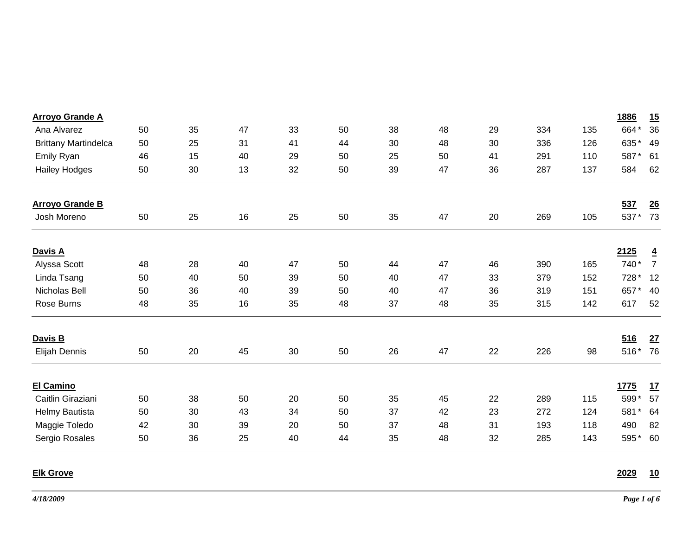| <b>Arroyo Grande A</b>      |    |    |    |    |    |    |    |    |     |     | 1886        | 15               |
|-----------------------------|----|----|----|----|----|----|----|----|-----|-----|-------------|------------------|
| Ana Alvarez                 | 50 | 35 | 47 | 33 | 50 | 38 | 48 | 29 | 334 | 135 | 664*        | 36               |
| <b>Brittany Martindelca</b> | 50 | 25 | 31 | 41 | 44 | 30 | 48 | 30 | 336 | 126 | 635*        | 49               |
| Emily Ryan                  | 46 | 15 | 40 | 29 | 50 | 25 | 50 | 41 | 291 | 110 | 587*        | 61               |
| <b>Hailey Hodges</b>        | 50 | 30 | 13 | 32 | 50 | 39 | 47 | 36 | 287 | 137 | 584         | 62               |
| <b>Arroyo Grande B</b>      |    |    |    |    |    |    |    |    |     |     | 537         | $\underline{26}$ |
| Josh Moreno                 | 50 | 25 | 16 | 25 | 50 | 35 | 47 | 20 | 269 | 105 | 537*        | 73               |
| Davis A                     |    |    |    |    |    |    |    |    |     |     | 2125        | $\overline{4}$   |
| Alyssa Scott                | 48 | 28 | 40 | 47 | 50 | 44 | 47 | 46 | 390 | 165 | 740*        | $\overline{7}$   |
| Linda Tsang                 | 50 | 40 | 50 | 39 | 50 | 40 | 47 | 33 | 379 | 152 | 728 *       | 12               |
| Nicholas Bell               | 50 | 36 | 40 | 39 | 50 | 40 | 47 | 36 | 319 | 151 | 657*        | 40               |
| Rose Burns                  | 48 | 35 | 16 | 35 | 48 | 37 | 48 | 35 | 315 | 142 | 617         | 52               |
| Davis B                     |    |    |    |    |    |    |    |    |     |     | 516         | 27               |
| Elijah Dennis               | 50 | 20 | 45 | 30 | 50 | 26 | 47 | 22 | 226 | 98  | 516*        | 76               |
| <b>El Camino</b>            |    |    |    |    |    |    |    |    |     |     | <u>1775</u> | <u>17</u>        |
| Caitlin Giraziani           | 50 | 38 | 50 | 20 | 50 | 35 | 45 | 22 | 289 | 115 | 599*        | 57               |
| Helmy Bautista              | 50 | 30 | 43 | 34 | 50 | 37 | 42 | 23 | 272 | 124 | 581*        | 64               |
| Maggie Toledo               | 42 | 30 | 39 | 20 | 50 | 37 | 48 | 31 | 193 | 118 | 490         | 82               |
| Sergio Rosales              | 50 | 36 | 25 | 40 | 44 | 35 | 48 | 32 | 285 | 143 | 595*        | 60               |

### **Elk Grove**

#### **2029 10**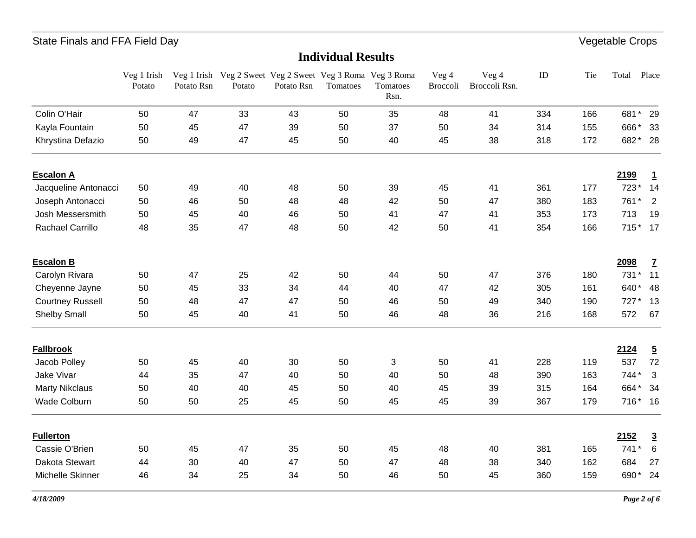### **Individual Results**

|                         | Veg 1 Irish<br>Potato | Potato Rsn | Veg 1 Irish Veg 2 Sweet Veg 2 Sweet Veg 3 Roma Veg 3 Roma<br>Potato | Potato Rsn | Tomatoes | Tomatoes<br>Rsn. | Veg 4<br>Broccoli | Veg 4<br>Broccoli Rsn. | ID  | Tie | Total   | Place          |
|-------------------------|-----------------------|------------|---------------------------------------------------------------------|------------|----------|------------------|-------------------|------------------------|-----|-----|---------|----------------|
| Colin O'Hair            | 50                    | 47         | 33                                                                  | 43         | 50       | 35               | 48                | 41                     | 334 | 166 | 681* 29 |                |
| Kayla Fountain          | 50                    | 45         | 47                                                                  | 39         | 50       | 37               | 50                | 34                     | 314 | 155 | 666*    | - 33           |
| Khrystina Defazio       | 50                    | 49         | 47                                                                  | 45         | 50       | 40               | 45                | 38                     | 318 | 172 | 682* 28 |                |
| <b>Escalon A</b>        |                       |            |                                                                     |            |          |                  |                   |                        |     |     | 2199    | $\overline{1}$ |
| Jacqueline Antonacci    | 50                    | 49         | 40                                                                  | 48         | 50       | 39               | 45                | 41                     | 361 | 177 | 723*    | 14             |
| Joseph Antonacci        | 50                    | 46         | 50                                                                  | 48         | 48       | 42               | 50                | 47                     | 380 | 183 | 761*    | 2              |
| Josh Messersmith        | 50                    | 45         | 40                                                                  | 46         | 50       | 41               | 47                | 41                     | 353 | 173 | 713     | 19             |
| <b>Rachael Carrillo</b> | 48                    | 35         | 47                                                                  | 48         | 50       | 42               | 50                | 41                     | 354 | 166 | 715* 17 |                |
| <b>Escalon B</b>        |                       |            |                                                                     |            |          |                  |                   |                        |     |     | 2098    | $\mathbf{Z}$   |
| Carolyn Rivara          | 50                    | 47         | 25                                                                  | 42         | 50       | 44               | 50                | 47                     | 376 | 180 | 731* 11 |                |
| Cheyenne Jayne          | 50                    | 45         | 33                                                                  | 34         | 44       | 40               | 47                | 42                     | 305 | 161 | 640* 48 |                |
| <b>Courtney Russell</b> | 50                    | 48         | 47                                                                  | 47         | 50       | 46               | 50                | 49                     | 340 | 190 | $727*$  | 13             |
| <b>Shelby Small</b>     | 50                    | 45         | 40                                                                  | 41         | 50       | 46               | 48                | 36                     | 216 | 168 | 572     | 67             |
| <b>Fallbrook</b>        |                       |            |                                                                     |            |          |                  |                   |                        |     |     | 2124    | $\overline{5}$ |
| Jacob Polley            | 50                    | 45         | 40                                                                  | 30         | 50       | 3                | 50                | 41                     | 228 | 119 | 537     | 72             |
| Jake Vivar              | 44                    | 35         | 47                                                                  | 40         | 50       | 40               | 50                | 48                     | 390 | 163 | 744*    | $\mathbf{3}$   |
| <b>Marty Nikclaus</b>   | 50                    | 40         | 40                                                                  | 45         | 50       | 40               | 45                | 39                     | 315 | 164 | 664* 34 |                |
| Wade Colburn            | 50                    | 50         | 25                                                                  | 45         | 50       | 45               | 45                | 39                     | 367 | 179 | 716* 16 |                |
| <b>Fullerton</b>        |                       |            |                                                                     |            |          |                  |                   |                        |     |     | 2152    | $\overline{3}$ |
| Cassie O'Brien          | 50                    | 45         | 47                                                                  | 35         | 50       | 45               | 48                | 40                     | 381 | 165 | 741*    | 6              |
| Dakota Stewart          | 44                    | 30         | 40                                                                  | 47         | 50       | 47               | 48                | 38                     | 340 | 162 | 684     | 27             |
| Michelle Skinner        | 46                    | 34         | 25                                                                  | 34         | 50       | 46               | 50                | 45                     | 360 | 159 | 690* 24 |                |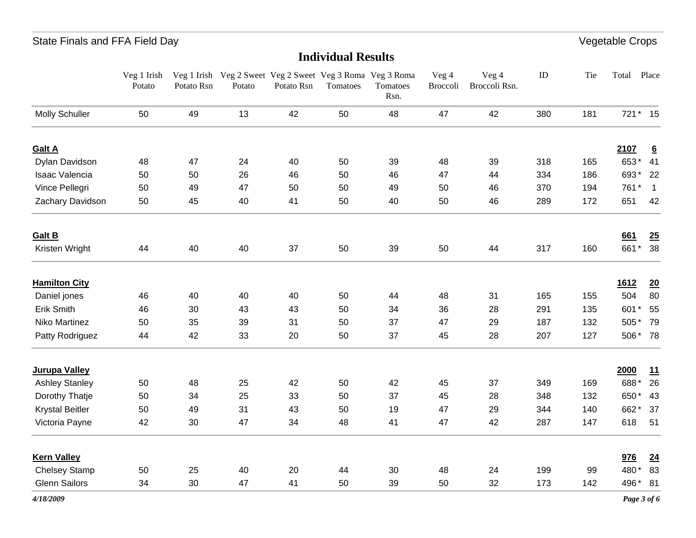#### **Individual Results**

|                        | Veg 1 Irish<br>Potato | Potato Rsn | Veg 1 Irish Veg 2 Sweet Veg 2 Sweet Veg 3 Roma Veg 3 Roma<br>Potato | Potato Rsn | Tomatoes | Tomatoes<br>Rsn. | Veg 4<br>Broccoli | Veg 4<br>Broccoli Rsn. | ID  | Tie | Total    | Place           |
|------------------------|-----------------------|------------|---------------------------------------------------------------------|------------|----------|------------------|-------------------|------------------------|-----|-----|----------|-----------------|
| <b>Molly Schuller</b>  | 50                    | 49         | 13                                                                  | 42         | 50       | 48               | 47                | 42                     | 380 | 181 | 721 * 15 |                 |
| <b>Galt A</b>          |                       |            |                                                                     |            |          |                  |                   |                        |     |     | 2107     | $6\overline{6}$ |
| Dylan Davidson         | 48                    | 47         | 24                                                                  | 40         | 50       | 39               | 48                | 39                     | 318 | 165 | 653*     | 41              |
| Isaac Valencia         | 50                    | 50         | 26                                                                  | 46         | 50       | 46               | 47                | 44                     | 334 | 186 | 693*     | 22              |
| Vince Pellegri         | 50                    | 49         | 47                                                                  | 50         | 50       | 49               | 50                | 46                     | 370 | 194 | 761*     | $\overline{1}$  |
| Zachary Davidson       | 50                    | 45         | 40                                                                  | 41         | 50       | 40               | 50                | 46                     | 289 | 172 | 651      | 42              |
| <b>Galt B</b>          |                       |            |                                                                     |            |          |                  |                   |                        |     |     | 661      | 25              |
| Kristen Wright         | 44                    | 40         | 40                                                                  | 37         | 50       | 39               | 50                | 44                     | 317 | 160 | 661*     | 38              |
| <b>Hamilton City</b>   |                       |            |                                                                     |            |          |                  |                   |                        |     |     | 1612     | $\overline{20}$ |
| Daniel jones           | 46                    | 40         | 40                                                                  | 40         | 50       | 44               | 48                | 31                     | 165 | 155 | 504      | 80              |
| Erik Smith             | 46                    | 30         | 43                                                                  | 43         | 50       | 34               | 36                | 28                     | 291 | 135 | 601*     | 55              |
| Niko Martinez          | 50                    | 35         | 39                                                                  | 31         | 50       | 37               | 47                | 29                     | 187 | 132 | 505*     | 79              |
| Patty Rodriguez        | 44                    | 42         | 33                                                                  | 20         | 50       | 37               | 45                | 28                     | 207 | 127 | 506* 78  |                 |
| Jurupa Valley          |                       |            |                                                                     |            |          |                  |                   |                        |     |     | 2000     | 11              |
| <b>Ashley Stanley</b>  | 50                    | 48         | 25                                                                  | 42         | 50       | 42               | 45                | 37                     | 349 | 169 | 688*     | 26              |
| Dorothy Thatje         | 50                    | 34         | 25                                                                  | 33         | 50       | 37               | 45                | 28                     | 348 | 132 | 650*     | 43              |
| <b>Krystal Beitler</b> | 50                    | 49         | 31                                                                  | 43         | 50       | 19               | 47                | 29                     | 344 | 140 | 662*     | 37              |
| Victoria Payne         | 42                    | 30         | 47                                                                  | 34         | 48       | 41               | 47                | 42                     | 287 | 147 | 618      | 51              |
| <b>Kern Valley</b>     |                       |            |                                                                     |            |          |                  |                   |                        |     |     | 976      | $\overline{24}$ |
| <b>Chelsey Stamp</b>   | 50                    | 25         | 40                                                                  | 20         | 44       | 30               | 48                | 24                     | 199 | 99  | 480*     | 83              |
| <b>Glenn Sailors</b>   | 34                    | 30         | 47                                                                  | 41         | 50       | 39               | 50                | 32                     | 173 | 142 | 496* 81  |                 |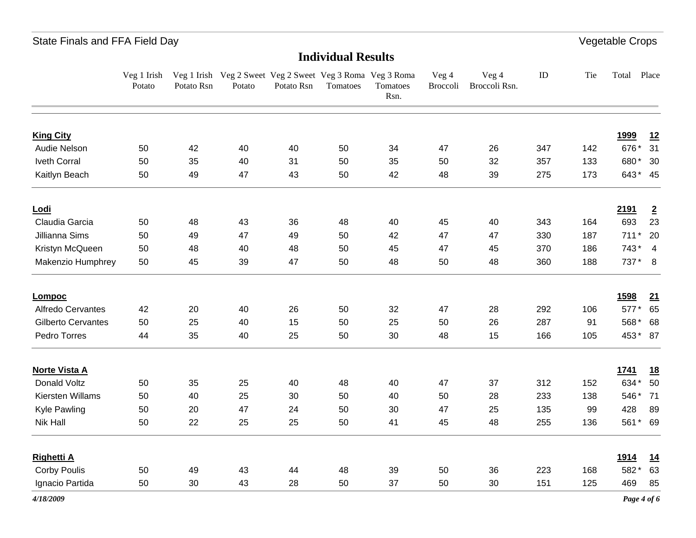### **Individual Results**

| <b>King City</b><br>Audie Nelson<br>42<br>50<br>34<br>347<br>50<br>40<br>40<br>47<br>26<br>142<br>Iveth Corral<br>50<br>35<br>31<br>50<br>40<br>35<br>50<br>32<br>357<br>133<br>42<br>Kaitlyn Beach<br>50<br>49<br>47<br>43<br>50<br>48<br>39<br>275<br>173 | <u>1999</u><br>676*<br>680* 30<br>643* 45 | 12<br>31       |
|-------------------------------------------------------------------------------------------------------------------------------------------------------------------------------------------------------------------------------------------------------------|-------------------------------------------|----------------|
|                                                                                                                                                                                                                                                             |                                           |                |
|                                                                                                                                                                                                                                                             |                                           |                |
|                                                                                                                                                                                                                                                             |                                           |                |
|                                                                                                                                                                                                                                                             |                                           |                |
| <u>Lodi</u>                                                                                                                                                                                                                                                 | 2191                                      | $\overline{2}$ |
| Claudia Garcia<br>50<br>48<br>43<br>36<br>48<br>40<br>45<br>40<br>343<br>164                                                                                                                                                                                | 693                                       | 23             |
| Jillianna Sims<br>50<br>49<br>47<br>49<br>50<br>42<br>47<br>330<br>187<br>47                                                                                                                                                                                | $711*$                                    | 20             |
| Kristyn McQueen<br>50<br>50<br>45<br>47<br>370<br>48<br>40<br>48<br>45<br>186                                                                                                                                                                               | $743* 4$                                  |                |
| Makenzio Humphrey<br>45<br>39<br>47<br>50<br>48<br>50<br>48<br>360<br>188<br>50                                                                                                                                                                             | 737* 8                                    |                |
| Lompoc                                                                                                                                                                                                                                                      | <u>1598</u>                               | 21             |
| 42<br>26<br>292<br>Alfredo Cervantes<br>20<br>40<br>50<br>32<br>47<br>28<br>106                                                                                                                                                                             | 577* 65                                   |                |
| Gilberto Cervantes<br>25<br>15<br>25<br>50<br>26<br>50<br>40<br>50<br>287<br>91                                                                                                                                                                             | 568* 68                                   |                |
| Pedro Torres<br>35<br>30<br>40<br>25<br>50<br>48<br>15<br>166<br>105<br>44                                                                                                                                                                                  | 453* 87                                   |                |
| <b>Norte Vista A</b>                                                                                                                                                                                                                                        | 1741                                      | <u>18</u>      |
| Donald Voltz<br>50<br>35<br>25<br>40<br>48<br>312<br>40<br>47<br>37<br>152                                                                                                                                                                                  | 634*                                      | 50             |
| Kiersten Willams<br>50<br>40<br>25<br>30<br>50<br>40<br>50<br>28<br>233<br>138                                                                                                                                                                              | 546* 71                                   |                |
| <b>Kyle Pawling</b><br>50<br>20<br>47<br>24<br>50<br>30<br>47<br>25<br>135<br>99                                                                                                                                                                            | 428                                       | 89             |
| Nik Hall<br>22<br>25<br>25<br>50<br>41<br>45<br>48<br>50<br>255<br>136                                                                                                                                                                                      | 561* 69                                   |                |
| <b>Righetti A</b>                                                                                                                                                                                                                                           | <u>1914</u>                               | <u>14</u>      |
| <b>Corby Poulis</b><br>50<br>49<br>43<br>44<br>48<br>39<br>50<br>36<br>223<br>168                                                                                                                                                                           | 582*                                      | 63             |
| Ignacio Partida<br>50<br>30<br>43<br>50<br>50<br>30<br>151<br>125<br>28<br>37                                                                                                                                                                               | 469                                       | 85             |

*4/18/2009*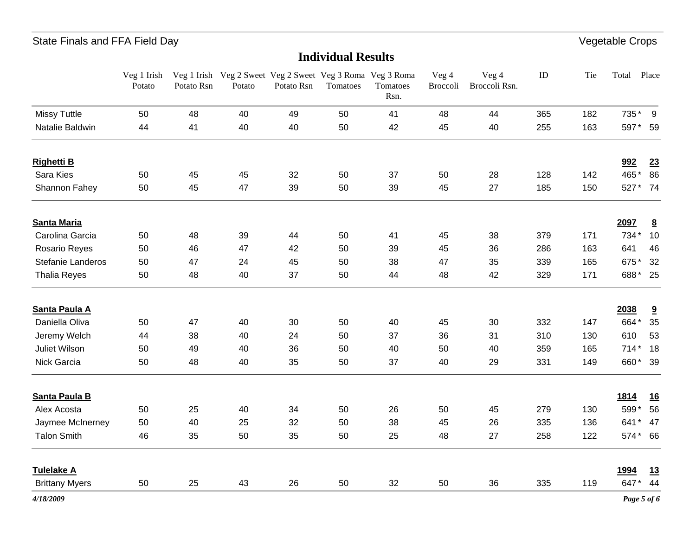#### **Individual Results**

|                       | Veg 1 Irish<br>Potato | Potato Rsn | Potato | Potato Rsn | Tomatoes | Veg 1 Irish Veg 2 Sweet Veg 2 Sweet Veg 3 Roma Veg 3 Roma<br>Tomatoes<br>Rsn. | Veg 4<br>Broccoli | Veg 4<br>Broccoli Rsn. | $\rm ID$ | Tie | Total       | Place                   |
|-----------------------|-----------------------|------------|--------|------------|----------|-------------------------------------------------------------------------------|-------------------|------------------------|----------|-----|-------------|-------------------------|
| <b>Missy Tuttle</b>   | 50                    | 48         | 40     | 49         | 50       | 41                                                                            | 48                | 44                     | 365      | 182 | 735* 9      |                         |
| Natalie Baldwin       | 44                    | 41         | 40     | 40         | 50       | 42                                                                            | 45                | 40                     | 255      | 163 | 597* 59     |                         |
| <b>Righetti B</b>     |                       |            |        |            |          |                                                                               |                   |                        |          |     | 992         | 23                      |
| Sara Kies             | 50                    | 45         | 45     | 32         | 50       | 37                                                                            | 50                | 28                     | 128      | 142 | 465* 86     |                         |
| Shannon Fahey         | 50                    | 45         | 47     | 39         | 50       | 39                                                                            | 45                | 27                     | 185      | 150 | 527* 74     |                         |
| <b>Santa Maria</b>    |                       |            |        |            |          |                                                                               |                   |                        |          |     | 2097        | $\overline{\mathbf{8}}$ |
| Carolina Garcia       | 50                    | 48         | 39     | 44         | 50       | 41                                                                            | 45                | 38                     | 379      | 171 | 734*        | 10                      |
| Rosario Reyes         | 50                    | 46         | 47     | 42         | 50       | 39                                                                            | 45                | 36                     | 286      | 163 | 641         | 46                      |
| Stefanie Landeros     | 50                    | 47         | 24     | 45         | 50       | 38                                                                            | 47                | 35                     | 339      | 165 | 675*        | 32                      |
| <b>Thalia Reyes</b>   | 50                    | 48         | 40     | 37         | 50       | 44                                                                            | 48                | 42                     | 329      | 171 | 688* 25     |                         |
| Santa Paula A         |                       |            |        |            |          |                                                                               |                   |                        |          |     | 2038        | $\overline{\mathbf{3}}$ |
| Daniella Oliva        | 50                    | 47         | 40     | 30         | 50       | 40                                                                            | 45                | 30                     | 332      | 147 | 664*        | 35                      |
| Jeremy Welch          | 44                    | 38         | 40     | 24         | 50       | 37                                                                            | 36                | 31                     | 310      | 130 | 610         | 53                      |
| Juliet Wilson         | 50                    | 49         | 40     | 36         | 50       | 40                                                                            | 50                | 40                     | 359      | 165 | 714* 18     |                         |
| Nick Garcia           | 50                    | 48         | 40     | 35         | 50       | 37                                                                            | 40                | 29                     | 331      | 149 | 660* 39     |                         |
| Santa Paula B         |                       |            |        |            |          |                                                                               |                   |                        |          |     | <u>1814</u> | <u>16</u>               |
| Alex Acosta           | 50                    | 25         | 40     | 34         | 50       | 26                                                                            | 50                | 45                     | 279      | 130 | 599* 56     |                         |
| Jaymee McInerney      | 50                    | 40         | 25     | 32         | 50       | 38                                                                            | 45                | 26                     | 335      | 136 | 641* 47     |                         |
| <b>Talon Smith</b>    | 46                    | 35         | 50     | 35         | 50       | 25                                                                            | 48                | 27                     | 258      | 122 | 574* 66     |                         |
| <b>Tulelake A</b>     |                       |            |        |            |          |                                                                               |                   |                        |          |     | <u>1994</u> | 13                      |
| <b>Brittany Myers</b> | 50                    | 25         | 43     | 26         | 50       | 32                                                                            | 50                | 36                     | 335      | 119 | 647* 44     |                         |
| 4/18/2009             |                       |            |        |            |          |                                                                               |                   |                        |          |     | Page 5 of 6 |                         |